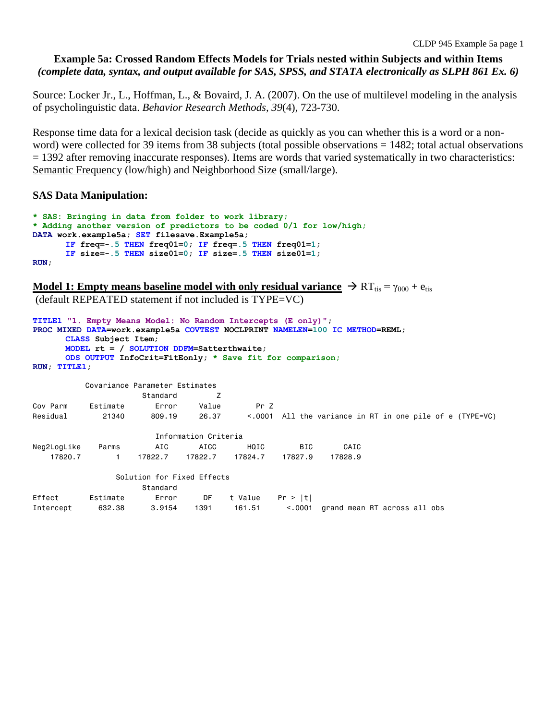# **Example 5a: Crossed Random Effects Models for Trials nested within Subjects and within Items** *(complete data, syntax, and output available for SAS, SPSS, and STATA electronically as SLPH 861 Ex. 6)*

Source: Locker Jr., L., Hoffman, L., & Bovaird, J. A. (2007). On the use of multilevel modeling in the analysis of psycholinguistic data. *Behavior Research Methods, 39*(4), 723-730.

Response time data for a lexical decision task (decide as quickly as you can whether this is a word or a nonword) were collected for 39 items from 38 subjects (total possible observations = 1482; total actual observations  $= 1392$  after removing inaccurate responses). Items are words that varied systematically in two characteristics: Semantic Frequency (low/high) and Neighborhood Size (small/large).

# **SAS Data Manipulation:**

```
* SAS: Bringing in data from folder to work library;
* Adding another version of predictors to be coded 0/1 for low/high;
DATA work.example5a; SET filesave.Example5a; 
      IF freq=-.5 THEN freq01=0; IF freq=.5 THEN freq01=1;
      IF size=-.5 THEN size01=0; IF size=.5 THEN size01=1;
RUN;
```
**Model 1: Empty means baseline model with only residual variance**  $\rightarrow RT_{\text{tis}} = \gamma_{000} + e_{\text{tis}}$ (default REPEATED statement if not included is TYPE=VC)

```
TITLE1 "1. Empty Means Model: No Random Intercepts (E only)";
PROC MIXED DATA=work.example5a COVTEST NOCLPRINT NAMELEN=100 IC METHOD=REML;
     CLASS Subject Item;
     MODEL rt = / SOLUTION DDFM=Satterthwaite; 
     ODS OUTPUT InfoCrit=FitEonly; * Save fit for comparison;
RUN; TITLE1;
          Covariance Parameter Estimates
                    Standard Z
Cov Parm Estimate Error Value Pr Z
Residual 21340 809.19 26.37 <.0001 All the variance in RT in one pile of e (TYPE=VC)
                       Information Criteria
Neg2LogLike Parms AIC AICC HQIC BIC CAIC
    17820.7 1 17822.7 17822.7 17824.7 17827.9 17828.9
                Solution for Fixed Effects
                    Standard
Effect Estimate Error DF t Value Pr > |t|
Intercept 632.38 3.9154 1391 161.51 <.0001 grand mean RT across all obs
```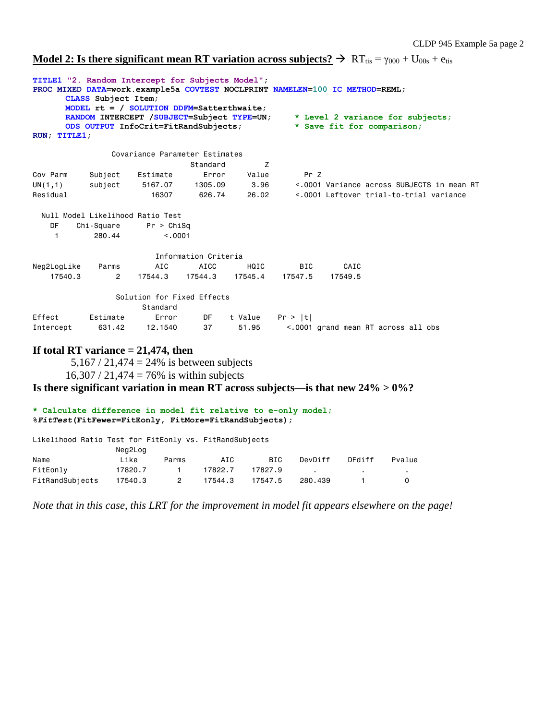**Model 2: Is there significant mean RT variation across subjects?**  $\rightarrow$  RT<sub>tis</sub> =  $\gamma_{000}$  + U<sub>00s</sub> + e<sub>tis</sub>

| RUN; TITLE1; | CLASS Subject Item;  | TITLE1 "2. Random Intercept for Subjects Model";<br>PROC MIXED DATA=work.example5a COVTEST NOCLPRINT NAMELEN=100 IC METHOD=REML;<br>MODEL $rt = /$ SOLUTION DDFM=Satterthwaite;<br>RANDOM INTERCEPT /SUBJECT=Subject TYPE=UN;<br>ODS OUTPUT InfoCrit=FitRandSubjects; |                      |         |            |         | * Level 2 variance for subjects;<br>* Save fit for comparison; |  |
|--------------|----------------------|-----------------------------------------------------------------------------------------------------------------------------------------------------------------------------------------------------------------------------------------------------------------------|----------------------|---------|------------|---------|----------------------------------------------------------------|--|
|              |                      | Covariance Parameter Estimates                                                                                                                                                                                                                                        |                      |         |            |         |                                                                |  |
|              |                      |                                                                                                                                                                                                                                                                       | Standard             | Z       |            |         |                                                                |  |
| Cov Parm     | Subject              | Estimate                                                                                                                                                                                                                                                              | Error                | Value   | Pr Z       |         |                                                                |  |
| UN(1,1)      | subject              | 5167.07                                                                                                                                                                                                                                                               | 1305.09              | 3.96    |            |         | <.0001 Variance across SUBJECTS in mean RT                     |  |
| Residual     |                      | 16307                                                                                                                                                                                                                                                                 | 626.74               | 26.02   |            |         | <.0001 Leftover trial-to-trial variance                        |  |
| DF<br>1      | Chi-Square<br>280.44 | Null Model Likelihood Ratio Test<br>Pr > Chisq<br>< 0.001                                                                                                                                                                                                             |                      |         |            |         |                                                                |  |
|              |                      |                                                                                                                                                                                                                                                                       | Information Criteria |         |            |         |                                                                |  |
| Neg2LogLike  | Parms                | AIC                                                                                                                                                                                                                                                                   | AICC                 | HQIC    | <b>BIC</b> | CAIC    |                                                                |  |
| 17540.3      | $\mathbf{2}$         | 17544.3                                                                                                                                                                                                                                                               | 17544.3              | 17545.4 | 17547.5    | 17549.5 |                                                                |  |
|              |                      | Solution for Fixed Effects<br>Standard                                                                                                                                                                                                                                |                      |         |            |         |                                                                |  |
| Effect       | Estimate             | Error                                                                                                                                                                                                                                                                 | DF                   | t Value | Pr >  t    |         |                                                                |  |
| Intercept    | 631.42               | 12,1540                                                                                                                                                                                                                                                               | 37                   | 51.95   |            |         | <.0001 grand mean RT across all obs                            |  |
|              |                      | If total RT variance $= 21,474$ , then                                                                                                                                                                                                                                |                      |         |            |         |                                                                |  |

5,167 / 21,474 = 24% is between subjects  $16,307 / 21,474 = 76\%$  is within subjects

**Is there significant variation in mean RT across subjects—is that new 24% > 0%?**

### **\* Calculate difference in model fit relative to e-only model; %***FitTest***(FitFewer=FitEonly, FitMore=FitRandSubjects);**

Likelihood Ratio Test for FitEonly vs. FitRandSubjects

|                 | Neg2Log |       |         |            |         |        |        |
|-----------------|---------|-------|---------|------------|---------|--------|--------|
| Name            | ∟ike    | Parms | AIC     | <b>BIC</b> | DevDiff | DFdiff | Pvalue |
| FitEonlv        | 17820.7 |       | 17822.7 | 17827.9    |         |        |        |
| FitRandSubiects | 17540.3 | 2     | 17544.3 | 17547.5    | 280.439 |        |        |

*Note that in this case, this LRT for the improvement in model fit appears elsewhere on the page!*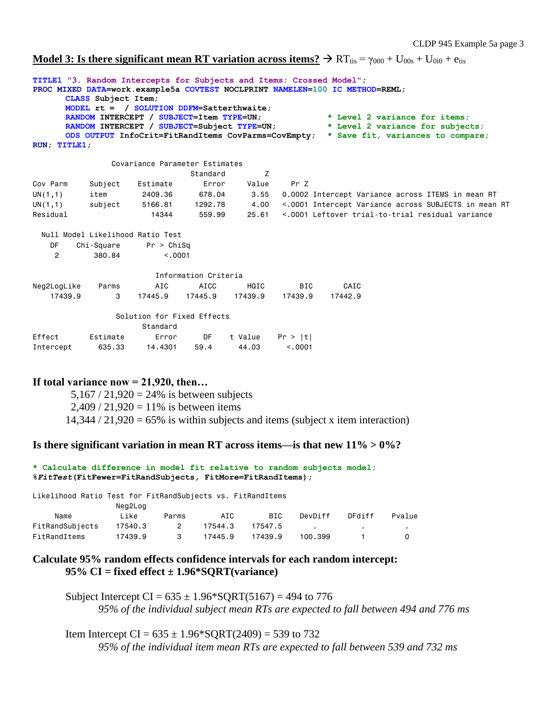**Model 3: Is there significant mean RT variation across items?**  $\rightarrow$  RT<sub>tis</sub> =  $\gamma_{000}$  + U<sub>00s</sub> + U<sub>0i0</sub> + e<sub>tis</sub>

```
TITLE1 "3. Random Intercepts for Subjects and Items: Crossed Model";
PROC MIXED DATA=work.example5a COVTEST NOCLPRINT NAMELEN=100 IC METHOD=REML;
     CLASS Subject Item;
     MODEL rt = / SOLUTION DDFM=Satterthwaite;
     RANDOM INTERCEPT / SUBJECT=Item TYPE=UN; * Level 2 variance for items;
     RANDOM INTERCEPT / SUBJECT=Subject TYPE=UN; * Level 2 variance for subjects;
     ODS OUTPUT InfoCrit=FitRandItems CovParms=CovEmpty; * Save fit, variances to compare;
RUN; TITLE1;
               Covariance Parameter Estimates
                           Standard Z
Cov Parm Subject Estimate Error Value Pr Z
UN(1,1) item 2409.36 678.04 3.55 0.0002 Intercept Variance across ITEMS in mean RT
UN(1,1) subject 5166.81 1292.78 4.00 <.0001 Intercept Variance across SUBJECTS in mean RT
Residual 14344 559.99 25.61 <.0001 Leftover trial-to-trial residual variance
  Null Model Likelihood Ratio Test
    DF Chi-Square Pr > ChiSq
    2 380.84 <.0001
                       Information Criteria
Neg2LogLike Parms AIC AICC HQIC BIC CAIC
   17439.9 3 17445.9 17445.9 17439.9 17439.9 17442.9
               Solution for Fixed Effects
                  Standard<br>Error
Effect Estimate Error DF t Value Pr > |t|
Intercept 635.33 14.4301 59.4 44.03 <.0001
```
## **If total variance now = 21,920, then…**

 $5,167 / 21,920 = 24\%$  is between subjects  $2,409 / 21,920 = 11\%$  is between items  $14,344 / 21,920 = 65\%$  is within subjects and items (subject x item interaction)

## **Is there significant variation in mean RT across items—is that new 11% > 0%?**

```
* Calculate difference in model fit relative to random subjects model;
%FitTest(FitFewer=FitRandSubjects, FitMore=FitRandItems);
```
Likelihood Ratio Test for FitRandSubjects vs. FitRandItems Neg2Log

| Name            | Like    | Parms | AIC     | BIC.    | DevDiff | DFdiff | Pvalue |
|-----------------|---------|-------|---------|---------|---------|--------|--------|
| FitRandSubjects | 17540.3 | 2     | 17544.3 | 17547.5 |         |        |        |
| FitRandItems    | 17439.9 |       | 17445.9 | 17439.9 | 100.399 |        |        |

## **Calculate 95% random effects confidence intervals for each random intercept: 95% CI = fixed effect ± 1.96\*SQRT(variance)**

Subject Intercept CI =  $635 \pm 1.96*$  SORT(5167) = 494 to 776 *95% of the individual subject mean RTs are expected to fall between 494 and 776 ms*

Item Intercept CI =  $635 \pm 1.96*$  SQRT(2409) = 539 to 732 *95% of the individual item mean RTs are expected to fall between 539 and 732 ms*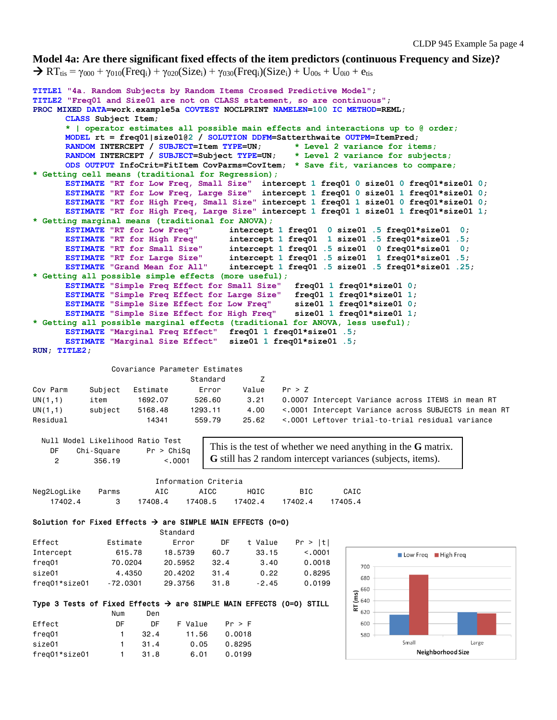### **Model 4a: Are there significant fixed effects of the item predictors (continuous Frequency and Size)?**

 $\rightarrow RT_{\text{tis}} = \gamma_{000} + \gamma_{010}$ (Freq<sub>i</sub>) +  $\gamma_{020}$ (Size<sub>i</sub>) +  $\gamma_{030}$ (Freq<sub>i</sub>)(Size<sub>i</sub>) + U<sub>00s</sub> + U<sub>0i0</sub> + e<sub>tis</sub>

```
TITLE1 "4a. Random Subjects by Random Items Crossed Predictive Model";
TITLE2 "Freq01 and Size01 are not on CLASS statement, so are continuous";
PROC MIXED DATA=work.example5a COVTEST NOCLPRINT NAMELEN=100 IC METHOD=REML;
      CLASS Subject Item;
      * | operator estimates all possible main effects and interactions up to @ order;
      MODEL rt = freq01|size01@2 / SOLUTION DDFM=Satterthwaite OUTPM=ItemPred;
      RANDOM INTERCEPT / SUBJECT=Item TYPE=UN; * Level 2 variance for items;
      RANDOM INTERCEPT / SUBJECT=Subject TYPE=UN; * Level 2 variance for subjects;
      ODS OUTPUT InfoCrit=FitItem CovParms=CovItem; * Save fit, variances to compare;
* Getting cell means (traditional for Regression);
      ESTIMATE "RT for Low Freq, Small Size" intercept 1 freq01 0 size01 0 freq01*size01 0;
      ESTIMATE "RT for Low Freq, Large Size" intercept 1 freq01 0 size01 1 freq01*size01 0;
      ESTIMATE "RT for High Freq, Small Size" intercept 1 freq01 1 size01 0 freq01*size01 0;
      ESTIMATE "RT for High Freq, Large Size" intercept 1 freq01 1 size01 1 freq01*size01 1;
* Getting marginal means (traditional for ANOVA);
      ESTIMATE "RT for Low Freq" intercept 1 freq01 0 size01 .5 freq01*size01 0;
      ESTIMATE "RT for High Freq" intercept 1 freq01 1 size01 .5 freq01*size01 .5;
                                     \frac{1}{2} intercept 1 freq01 .5 size01 0 freq01*size01 0;
      ESTIMATE "RT for Large Size" intercept 1 freq01 .5 size01 1 freq01*size01 .5;
      ESTIMATE "Grand Mean for All" intercept 1 freq01 .5 size01 .5 freq01*size01 .25;
* Getting all possible simple effects (more useful);
      ESTIMATE "Simple Freq Effect for Small Size" freq01 1 freq01*size01 0;
      ESTIMATE "Simple Freq Effect for Large Size" freq01 1 freq01*size01 1;
      ESTIMATE "Simple Size Effect for Low Freq" size01 1 freq01*size01 0;
      ESTIMATE "Simple Size Effect for High Freq" size01 1 freq01*size01 1;
* Getting all possible marginal effects (traditional for ANOVA, less useful);
      ESTIMATE "Marginal Freq Effect" freq01 1 freq01*size01 .5;
      ESTIMATE "Marginal Size Effect" size01 1 freq01*size01 .5;
RUN; TITLE2;
                Covariance Parameter Estimates
                              Standard Z
Cov Parm Subject Estimate Error Value Pr > Z
UN(1,1) item 1692.07 526.60 3.21 0.0007 Intercept Variance across ITEMS in mean RT
UN(1,1) subject 5168.48 1293.11 4.00 <.0001 Intercept Variance across SUBJECTS in mean RT
Residual 14341 559.79 25.62 <.0001 Leftover trial-to-trial residual variance
  Null Model Likelihood Ratio Test
                                  This is the test of whether we need anything in the G matrix. 
    DF Chi-Square Pr > ChiSq
                                  G still has 2 random intercept variances (subjects, items). 2 356.19 <.0001
                        Information Criteria
Neg2LogLike Parms AIC AICC HQIC BIC CAIC
 17402.4 3 17408.4 17408.5 17402.4 17402.4 17405.4
Solution for Fixed Effects \rightarrow are SIMPLE MAIN EFFECTS (0=0)
                         Standard
Effect Estimate Error DF t Value Pr > |t|
Intercept 615.78 18.5739 60.7 33.15 <.0001 
                                                                      Low Freq High Freq
freq01 70.0204 20.5952 32.4 3.40 0.0018
                                                               700
size01 4.4350 20.4202 31.4 0.22 0.8295
                                                               680
freq01*size01 -72.0301 29.3756 31.8 -2.45 0.0199
                                                               660
                                                             (ms)640
Type 3 Tests of Fixed Effects \rightarrow are SIMPLE MAIN EFFECTS (0=0) STILL
                                                             ĿΕ
                                                               620
 Num Den
Effect DF DF F Value Pr > F
                                                               600
freq01 1 32.4 11.56 0.0018
                                                               580
                                                                       Small
                                                                                    Large
size01 1 31.4 0.05 0.8295
                                                                         Neighborhood Size
freq01*size01 1 31.8 6.01 0.0199
```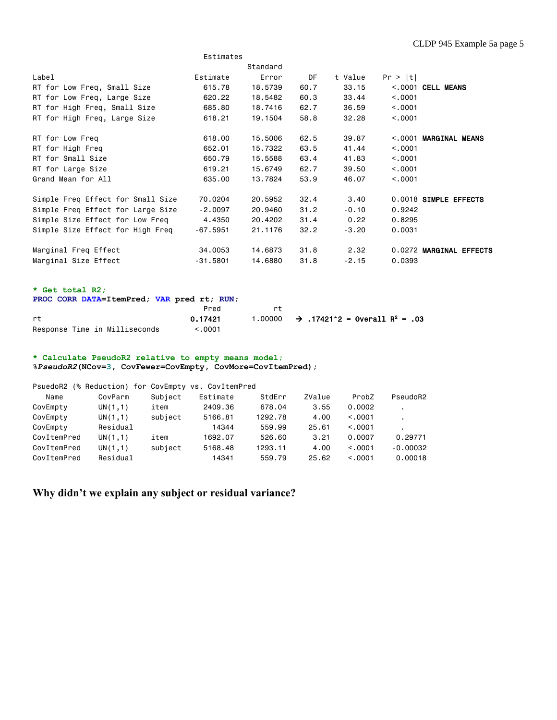|                                                                                                                   | Estimates  |          |      |                                                       |          |                         |  |  |  |  |  |
|-------------------------------------------------------------------------------------------------------------------|------------|----------|------|-------------------------------------------------------|----------|-------------------------|--|--|--|--|--|
|                                                                                                                   |            | Standard |      |                                                       |          |                         |  |  |  |  |  |
| Label                                                                                                             | Estimate   | Error    | DF   | t Value                                               | Pr >  t  |                         |  |  |  |  |  |
| RT for Low Freq, Small Size                                                                                       | 615.78     | 18,5739  | 60.7 | 33.15                                                 |          | $<.0001$ CELL MEANS     |  |  |  |  |  |
| RT for Low Freq, Large Size                                                                                       | 620.22     | 18,5482  | 60.3 | 33.44                                                 | < 0.0001 |                         |  |  |  |  |  |
| RT for High Freq, Small Size                                                                                      | 685.80     | 18,7416  | 62.7 | 36.59                                                 | < 0.001  |                         |  |  |  |  |  |
| RT for High Freq, Large Size                                                                                      | 618.21     | 19.1504  | 58.8 | 32.28                                                 | < 0.001  |                         |  |  |  |  |  |
| RT for Low Freq                                                                                                   | 618,00     | 15,5006  | 62.5 | 39.87                                                 |          | <.0001 MARGINAL MEANS   |  |  |  |  |  |
| RT for High Freq                                                                                                  | 652,01     | 15,7322  | 63.5 | 41.44                                                 | < 0.001  |                         |  |  |  |  |  |
| RT for Small Size                                                                                                 | 650.79     | 15,5588  | 63.4 | 41.83                                                 | < .0001  |                         |  |  |  |  |  |
| RT for Large Size                                                                                                 | 619.21     | 15,6749  | 62.7 | 39.50                                                 | < .0001  |                         |  |  |  |  |  |
| Grand Mean for All                                                                                                | 635,00     | 13,7824  | 53.9 | 46.07                                                 | < 0.001  |                         |  |  |  |  |  |
| Simple Freq Effect for Small Size                                                                                 | 70,0204    | 20,5952  | 32.4 | 3.40                                                  |          | 0.0018 SIMPLE EFFECTS   |  |  |  |  |  |
| Simple Freq Effect for Large Size                                                                                 | $-2.0097$  | 20.9460  | 31.2 | $-0.10$                                               | 0.9242   |                         |  |  |  |  |  |
| Simple Size Effect for Low Freq                                                                                   | 4.4350     | 20.4202  | 31.4 | 0.22                                                  | 0.8295   |                         |  |  |  |  |  |
| Simple Size Effect for High Freq                                                                                  | $-67.5951$ | 21.1176  | 32.2 | $-3,20$                                               | 0.0031   |                         |  |  |  |  |  |
| Marginal Freq Effect                                                                                              | 34,0053    | 14,6873  | 31.8 | 2.32                                                  |          | 0.0272 MARGINAL EFFECTS |  |  |  |  |  |
| Marginal Size Effect                                                                                              | $-31.5801$ | 14,6880  | 31.8 | $-2.15$                                               | 0.0393   |                         |  |  |  |  |  |
| * Get total R2;<br>PROC CORR DATA=ItemPred; VAR pred rt; RUN;<br>Pred<br>rt                                       |            |          |      |                                                       |          |                         |  |  |  |  |  |
| rt                                                                                                                | 0.17421    | 1,00000  |      | $\rightarrow$ .17421^2 = Overall R <sup>2</sup> = .03 |          |                         |  |  |  |  |  |
| Response Time in Milliseconds                                                                                     | < .0001    |          |      |                                                       |          |                         |  |  |  |  |  |
| * Calculate PseudoR2 relative to empty means model;<br>%PseudoR2(NCov=3, CovFewer=CovEmpty, CovMore=CovItemPred); |            |          |      |                                                       |          |                         |  |  |  |  |  |

| PsuedoR2    | (% Reduction) for CovEmpty vs. CovItemPred |         |          |         |        |         |                |
|-------------|--------------------------------------------|---------|----------|---------|--------|---------|----------------|
| Name        | CovParm                                    | Subject | Estimate | StdErr  | ZValue | ProbZ   | PseudoR2       |
| CovEmpty    | UN(1,1)                                    | item    | 2409.36  | 678.04  | 3.55   | 0.0002  | $\blacksquare$ |
| CovEmpty    | UN(1,1)                                    | subject | 5166.81  | 1292.78 | 4.00   | < 0.001 | ٠              |
| CovEmpty    | Residual                                   |         | 14344    | 559.99  | 25.61  | < 0.001 | $\blacksquare$ |
| CovItemPred | UN(1,1)                                    | item    | 1692.07  | 526.60  | 3.21   | 0.0007  | 0.29771        |
| CovItemPred | UN(1,1)                                    | subject | 5168.48  | 1293.11 | 4.00   | < 0.001 | $-0.00032$     |
| CovItemPred | Residual                                   |         | 14341    | 559.79  | 25.62  | < 0.001 | 0.00018        |

**Why didn't we explain any subject or residual variance?**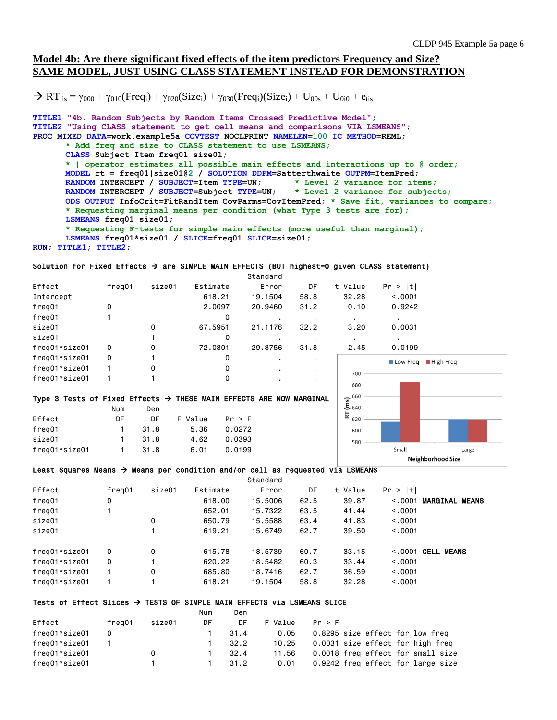## **Model 4b: Are there significant fixed effects of the item predictors Frequency and Size? SAME MODEL, JUST USING CLASS STATEMENT INSTEAD FOR DEMONSTRATION**

 $\rightarrow RT_{\text{tis}} = \gamma_{000} + \gamma_{010}$ (Freq<sub>i</sub>) +  $\gamma_{020}$ (Size<sub>i</sub>) +  $\gamma_{030}$ (Freq<sub>i</sub>)(Size<sub>i</sub>) + U<sub>00s</sub> + U<sub>0i0</sub> + e<sub>tis</sub>

```
TITLE1 "4b. Random Subjects by Random Items Crossed Predictive Model";
TITLE2 "Using CLASS statement to get cell means and comparisons VIA LSMEANS";
PROC MIXED DATA=work.example5a COVTEST NOCLPRINT NAMELEN=100 IC METHOD=REML;
      * Add freq and size to CLASS statement to use LSMEANS;
      CLASS Subject Item freq01 size01;
      * | operator estimates all possible main effects and interactions up to @ order;
      MODEL rt = freq01|size01@2 / SOLUTION DDFM=Satterthwaite OUTPM=ItemPred;
      RANDOM INTERCEPT / SUBJECT=Item TYPE=UN; * Level 2 variance for items;
      RANDOM INTERCEPT / SUBJECT=Subject TYPE=UN; * Level 2 variance for subjects;
      ODS OUTPUT InfoCrit=FitRandItem CovParms=CovItemPred; * Save fit, variances to compare;
      * Requesting marginal means per condition (what Type 3 tests are for);
      LSMEANS freq01 size01; 
      * Requesting F-tests for simple main effects (more useful than marginal);
      LSMEANS freq01*size01 / SLICE=freq01 SLICE=size01;
```

```
RUN; TITLE1; TITLE2;
```
#### Solution for Fixed Effects  $\rightarrow$  are SIMPLE MAIN EFFECTS (BUT highest=0 given CLASS statement)

|               |        |        |            | Standard |                |            |                               |
|---------------|--------|--------|------------|----------|----------------|------------|-------------------------------|
| Effect        | freg01 | size01 | Estimate   | Error    | DF             | t Value    | Pr >  t                       |
| Intercept     |        |        | 618.21     | 19.1504  | 58.8           | 32.28      | < 0.001                       |
| freg01        | 0      |        | 2,0097     | 20.9460  | 31.2           | 0.10       | 0.9242                        |
| freg01        |        |        | 0          |          |                |            | $\blacksquare$                |
| size01        |        | 0      | 67.5951    | 21.1176  | 32.2           | 3.20       | 0.0031                        |
| size01        |        |        | 0          |          |                |            |                               |
| freq01*size01 | 0      | 0      | $-72.0301$ | 29.3756  | 31.8           | $-2.45$    | 0.0199                        |
| freg01*size01 | 0      |        | 0          |          | $\blacksquare$ |            | $\blacksquare$ Hi<br>Low Freq |
| freg01*size01 |        | 0      | 0          |          |                |            |                               |
| freg01*size01 |        |        | 0          |          |                | 700<br>680 |                               |

#### Type 3 Tests of Fixed Effects  $\rightarrow$  THESE MAIN EFFECTS ARE NOW MARGINAL

|               | Num            | Den  |         |        |
|---------------|----------------|------|---------|--------|
| Effect        | DF.            | DE.  | F Value | Pr > F |
| freg01        | 1.             | 31.8 | 5.36    | 0.0272 |
| size01        | 1.             | 31.8 | 4.62    | 0.0393 |
| freg01*size01 | $\blacksquare$ | 31.8 | 6.01    | 0.0199 |



#### Least Squares Means  $\rightarrow$  Means per condition and/or cell as requested via LSMEANS

|               |          |        |          | Standard |      |         |          |                       |
|---------------|----------|--------|----------|----------|------|---------|----------|-----------------------|
| Effect        | freg01   | size01 | Estimate | Error    | DF   | t Value | Pr >  t  |                       |
| freg01        | 0        |        | 618,00   | 15,5006  | 62.5 | 39.87   | < 0.001  | <b>MARGINAL MEANS</b> |
| freg01        |          |        | 652,01   | 15,7322  | 63.5 | 41.44   | < 0.0001 |                       |
| size01        |          | 0      | 650.79   | 15,5588  | 63.4 | 41.83   | < 0.0001 |                       |
| size01        |          |        | 619.21   | 15,6749  | 62.7 | 39.50   | < 0.001  |                       |
| freg01*size01 | $\Omega$ | 0      | 615.78   | 18,5739  | 60.7 | 33.15   | < 0.0001 | <b>CELL MEANS</b>     |
| freg01*size01 | $\Omega$ |        | 620.22   | 18,5482  | 60.3 | 33.44   | < 0.0001 |                       |
| freg01*size01 |          | 0      | 685,80   | 18,7416  | 62.7 | 36.59   | < 0.0001 |                       |
| freg01*size01 |          |        | 618.21   | 19.1504  | 58.8 | 32.28   | < 0.0001 |                       |

#### Tests of Effect Slices  $\rightarrow$  TESTS OF SIMPLE MAIN EFFECTS via LSMEANS SLICE

|               |        |        | Num | Den  |         |                                   |
|---------------|--------|--------|-----|------|---------|-----------------------------------|
| Effect        | freg01 | size01 | DF  | DF   | F Value | Pr > F                            |
| freg01*size01 | 0      |        |     | 31.4 | 0.05    | 0.8295 size effect for low freq   |
| freg01*size01 |        |        |     | 32.2 | 10.25   | 0.0031 size effect for high freg  |
| freg01*size01 |        | 0      |     | 32.4 | 11.56   | 0.0018 freq effect for small size |
| freg01*size01 |        |        |     | 31.2 | 0.01    | 0.9242 freq effect for large size |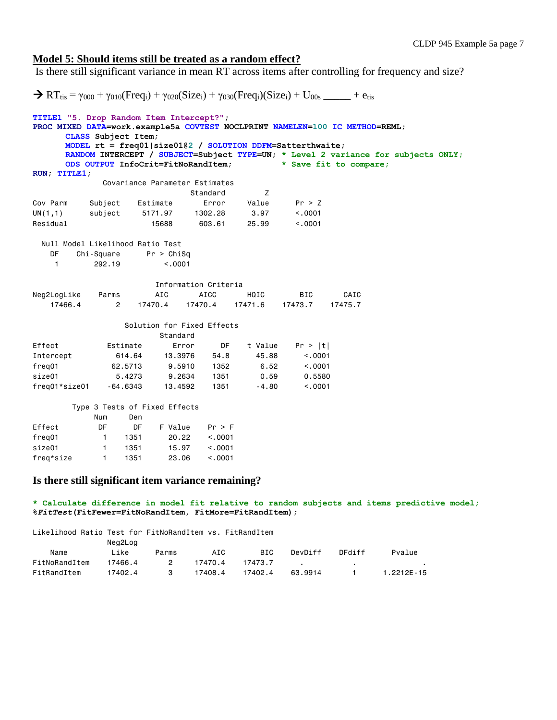### **Model 5: Should items still be treated as a random effect?**

Is there still significant variance in mean RT across items after controlling for frequency and size?

```
\rightarrow RT_{\text{tis}} = \gamma_{000} + \gamma_{010}(Freq_i) + \gamma_{020}(Size_i) + \gamma_{030}(Freq_i)(Size_i) + U_{00s} + etis
TITLE1 "5. Drop Random Item Intercept?";
PROC MIXED DATA=work.example5a COVTEST NOCLPRINT NAMELEN=100 IC METHOD=REML;
      CLASS Subject Item;
      MODEL rt = freq01|size01@2 / SOLUTION DDFM=Satterthwaite;
      RANDOM INTERCEPT / SUBJECT=Subject TYPE=UN; * Level 2 variance for subjects ONLY;<br>ODS OUTPUT InfoCrit=FitNoRandItem; * Save fit to compare;
      ODS OUTPUT InfoCrit=FitNoRandItem;
RUN; TITLE1;
              Covariance Parameter Estimates
                             Standard Z
Cov Parm Subject Estimate Error Value Pr > Z
UN(1,1) subject 5171.97 1302.28 3.97 <.0001
Residual 15688 603.61 25.99 <.0001
  Null Model Likelihood Ratio Test
    DF Chi-Square Pr > ChiSq
     1 292.19 <.0001
                       Information Criteria
Neg2LogLike Parms AIC AICC HQIC BIC CAIC
    17466.4 2 17470.4 17470.4 17471.6 17473.7 17475.7
                  Solution for Fixed Effects
                      Standard<br>Error
Effect Estimate Error DF t Value Pr > |t|
Intercept 614.64 13.3976 54.8 45.88 <.0001
freq01 62.5713 9.5910 1352 6.52 <.0001
size01 5.4273 9.2634 1351 0.59 0.5580
freq01*size01 -64.6343 13.4592 1351 -4.80 <.0001
        Type 3 Tests of Fixed Effects
           Num Den
Effect DF DF F Value Pr > F
freq01 1 1351 20.22 <.0001
size01 1 1351 15.97 <.0001
freq*size 1 1351 23.06 <.0001
```
## **Is there still significant item variance remaining?**

**\* Calculate difference in model fit relative to random subjects and items predictive model; %***FitTest***(FitFewer=FitNoRandItem, FitMore=FitRandItem);**

Likelihood Ratio Test for FitNoRandItem vs. FitRandItem

|               | Neg2Log |       |         |            |         |        |                |  |  |  |
|---------------|---------|-------|---------|------------|---------|--------|----------------|--|--|--|
| Name          | Like    | Parms | AIC     | <b>BIC</b> | DevDiff | DFdiff | Pvalue         |  |  |  |
| FitNoRandItem | 17466.4 | 2     | 17470.4 | 17473.7    |         |        |                |  |  |  |
| FitRandItem   | 17402.4 |       | 17408.4 | 17402.4    | 63.9914 |        | $1.2212E - 15$ |  |  |  |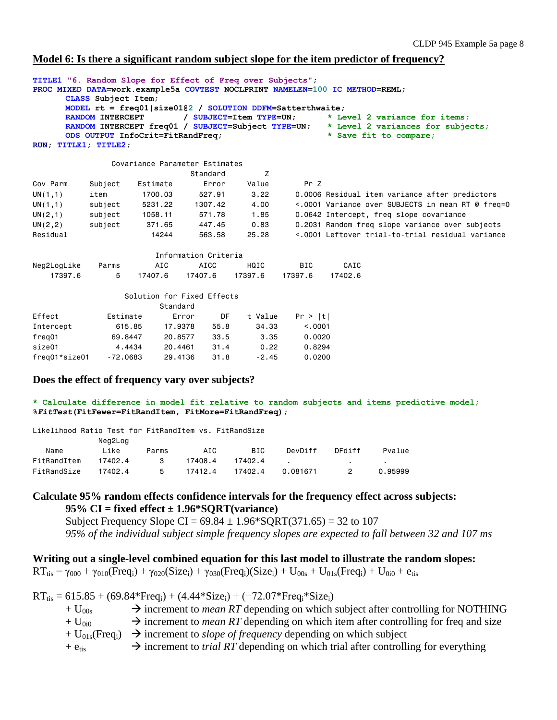### **Model 6: Is there a significant random subject slope for the item predictor of frequency?**

| TITLE1 "6. Random Slope for Effect of Freq over Subjects"; |                         |                                                             |                      |                         |            | PROC MIXED DATA=work.example5a COVTEST NOCLPRINT NAMELEN=100 IC METHOD=REML; |
|------------------------------------------------------------|-------------------------|-------------------------------------------------------------|----------------------|-------------------------|------------|------------------------------------------------------------------------------|
|                                                            | CLASS Subject Item;     |                                                             |                      |                         |            |                                                                              |
|                                                            |                         | MODEL $rt = freq01 size01@2 / SOLUTION$ DDFM=Satterthwaite; |                      |                         |            |                                                                              |
|                                                            | <b>RANDOM INTERCEPT</b> |                                                             |                      | / SUBJECT=Item TYPE=UN; |            | * Level 2 variance for items:                                                |
|                                                            |                         | RANDOM INTERCEPT freq01 / SUBJECT=Subject TYPE=UN;          |                      |                         |            | * Level 2 variances for subjects;                                            |
|                                                            |                         | ODS OUTPUT InfoCrit=FitRandFreq;                            |                      |                         |            | * Save fit to compare;                                                       |
| RUN; TITLE1; TITLE2;                                       |                         |                                                             |                      |                         |            |                                                                              |
|                                                            |                         | Covariance Parameter Estimates                              |                      |                         |            |                                                                              |
|                                                            |                         |                                                             | Standard             | Z                       |            |                                                                              |
| Cov Parm                                                   | Subject                 | Estimate                                                    | Error                | Value                   | Pr Z       |                                                                              |
| UN(1,1)                                                    | item                    | 1700.03                                                     | 527.91               | 3.22                    |            | 0.0006 Residual item variance after predictors                               |
| UN(1,1)                                                    | subject                 |                                                             | 5231.22 1307.42      | 4.00                    |            | <.0001 Variance over SUBJECTS in mean RT @ freq=0                            |
| UN(2,1)                                                    |                         |                                                             | 571.78               | 1.85                    |            | 0.0642 Intercept, freq slope covariance                                      |
| UN(2, 2)                                                   | subject                 | 371.65                                                      | 447.45               | 0.83                    |            | 0.2031 Random freq slope variance over subjects                              |
| Residual                                                   |                         | 14244                                                       | 563.58               | 25.28                   |            | <.0001 Leftover trial-to-trial residual variance                             |
|                                                            |                         |                                                             | Information Criteria |                         |            |                                                                              |
| Neg2LogLike                                                | Parms                   | AIC                                                         | AICC                 | HQIC                    | <b>BIC</b> | CAIC                                                                         |
| 17397.6                                                    | 5                       | 17407.6                                                     | 17407.6              | 17397.6                 | 17397.6    | 17402.6                                                                      |
|                                                            |                         | Solution for Fixed Effects                                  |                      |                         |            |                                                                              |
|                                                            |                         | Standard                                                    |                      |                         |            |                                                                              |
| Effect                                                     | Estimate                |                                                             | Error<br>DF          | t Value                 | Pr >  t    |                                                                              |
| Intercept                                                  |                         | 615.85<br>17,9378                                           | 55.8                 | 34.33                   | < 0.001    |                                                                              |
| freg01                                                     |                         | 69.8447                                                     | 20,8577<br>33.5      | 3.35                    | 0.0020     |                                                                              |
| size01                                                     |                         | 4.4434                                                      | 31.4<br>20,4461      | 0.22                    | 0.8294     |                                                                              |
| freg01*size01                                              | $-72,0683$              |                                                             | 31.8<br>29,4136      | $-2.45$                 | 0.0200     |                                                                              |

## **Does the effect of frequency vary over subjects?**

**\* Calculate difference in model fit relative to random subjects and items predictive model; %***FitTest***(FitFewer=FitRandItem, FitMore=FitRandFreq);**

| Likelihood Ratio Test for FitRandItem vs. FitRandSize |         |       |         |         |          |        |         |  |  |  |  |
|-------------------------------------------------------|---------|-------|---------|---------|----------|--------|---------|--|--|--|--|
|                                                       | Neg2Log |       |         |         |          |        |         |  |  |  |  |
| Name                                                  | Like    | Parms | AIC     | BIC     | DevDiff  | DFdiff | Pvalue  |  |  |  |  |
| FitRandItem                                           | 17402.4 | 3     | 17408.4 | 17402.4 |          | $\sim$ |         |  |  |  |  |
| FitRandSize                                           | 17402.4 | 5     | 17412.4 | 17402.4 | 0.081671 |        | 0.95999 |  |  |  |  |

# **Calculate 95% random effects confidence intervals for the frequency effect across subjects: 95% CI = fixed effect ± 1.96\*SQRT(variance)**

Subject Frequency Slope CI =  $69.84 \pm 1.96*$  SQRT(371.65) = 32 to 107 *95% of the individual subject simple frequency slopes are expected to fall between 32 and 107 ms*

**Writing out a single-level combined equation for this last model to illustrate the random slopes:**  $RT_{tis} = \gamma_{000} + \gamma_{010} (Freq_i) + \gamma_{020} (Size_i) + \gamma_{030} (Freq_i) (Size_i) + U_{00s} + U_{01s} (Freq_i) + U_{0i0} + e_{tis}$ 

 $RT_{\text{tis}} = 615.85 + (69.84*Freq_i) + (4.44*Size_i) + (-72.07*Freq_i*Size_i)$ 

| $+ U_{00s}$            | $\rightarrow$ increment to <i>mean RT</i> depending on which subject after controlling for NOTHING               |
|------------------------|------------------------------------------------------------------------------------------------------------------|
| $+U_{0i0}$             | $\rightarrow$ increment to <i>mean RT</i> depending on which item after controlling for freq and size            |
|                        | $+ U_{01s}$ (Freq <sub>i</sub> ) $\rightarrow$ increment to <i>slope of frequency</i> depending on which subject |
| $+$ $e$ <sub>tis</sub> | $\rightarrow$ increment to <i>trial RT</i> depending on which trial after controlling for everything             |